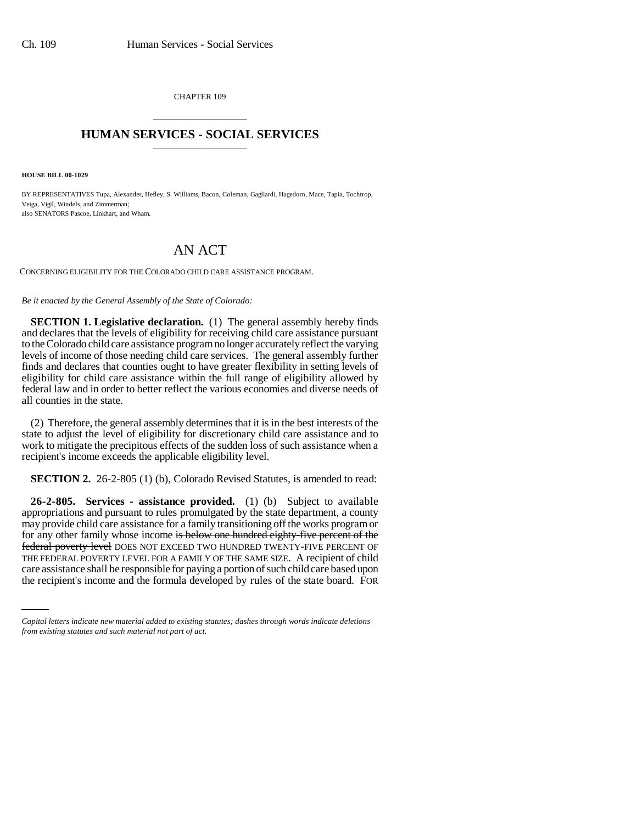CHAPTER 109 \_\_\_\_\_\_\_\_\_\_\_\_\_\_\_

## **HUMAN SERVICES - SOCIAL SERVICES** \_\_\_\_\_\_\_\_\_\_\_\_\_\_\_

**HOUSE BILL 00-1029** 

BY REPRESENTATIVES Tupa, Alexander, Hefley, S. Williams, Bacon, Coleman, Gagliardi, Hagedorn, Mace, Tapia, Tochtrop, Veiga, Vigil, Windels, and Zimmerman; also SENATORS Pascoe, Linkhart, and Wham.

## AN ACT

CONCERNING ELIGIBILITY FOR THE COLORADO CHILD CARE ASSISTANCE PROGRAM.

## *Be it enacted by the General Assembly of the State of Colorado:*

**SECTION 1. Legislative declaration.** (1) The general assembly hereby finds and declares that the levels of eligibility for receiving child care assistance pursuant to the Colorado child care assistance program no longer accurately reflect the varying levels of income of those needing child care services. The general assembly further finds and declares that counties ought to have greater flexibility in setting levels of eligibility for child care assistance within the full range of eligibility allowed by federal law and in order to better reflect the various economies and diverse needs of all counties in the state.

(2) Therefore, the general assembly determines that it is in the best interests of the state to adjust the level of eligibility for discretionary child care assistance and to work to mitigate the precipitous effects of the sudden loss of such assistance when a recipient's income exceeds the applicable eligibility level.

**SECTION 2.** 26-2-805 (1) (b), Colorado Revised Statutes, is amended to read:

THE FEDERAL POVERTY LEVEL FOR A FAMILY OF THE SAME SIZE. A recipient of child **26-2-805. Services - assistance provided.** (1) (b) Subject to available appropriations and pursuant to rules promulgated by the state department, a county may provide child care assistance for a family transitioning off the works program or for any other family whose income is below one hundred eighty-five percent of the federal poverty level DOES NOT EXCEED TWO HUNDRED TWENTY-FIVE PERCENT OF care assistance shall be responsible for paying a portion of such child care based upon the recipient's income and the formula developed by rules of the state board. FOR

*Capital letters indicate new material added to existing statutes; dashes through words indicate deletions from existing statutes and such material not part of act.*